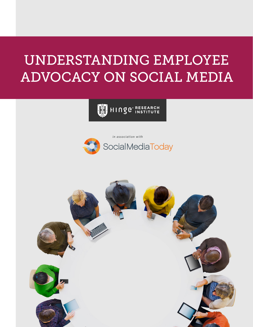# UNDERSTANDING EMPLOYEE ADVOCACY ON SOCIAL MEDIA

HINGE<sup>RESEARCH</sup>



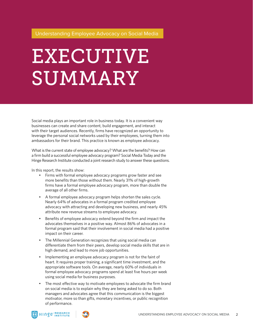# EXECUTIVE SUMMARY

Social media plays an important role in business today. It is a convenient way businesses can create and share content, build engagement, and interact with their target audiences. Recently, firms have recognized an opportunity to leverage the personal social networks used by their employees, turning them into ambassadors for their brand. This practice is known as employee advocacy.

What is the current state of employee advocacy? What are the benefits? How can a firm build a successful employee advocacy program? Social Media Today and the Hinge Research Institute conducted a joint research study to answer these questions.

In this report, the results show:

- Firms with formal employee advocacy programs grow faster and see more benefits than those without them. Nearly 31% of high-growth firms have a formal employee advocacy program, more than double the average of all other firms.
- A formal employee advocacy program helps shorten the sales cycle. Nearly 64% of advocates in a formal program credited employee advocacy with attracting and developing new business, and nearly 45% attribute new revenue streams to employee advocacy.
- Benefits of employee advocacy extend beyond the firm and impact the advocates themselves in a positive way. Almost 86% of advocates in a formal program said that their involvement in social media had a positive impact on their career.
- The Millennial Generation recognizes that using social media can differentiate them from their peers, develop social media skills that are in high demand, and lead to more job opportunities.
- Implementing an employee advocacy program is not for the faint of heart. It requires proper training, a significant time investment, and the appropriate software tools. On average, nearly 60% of individuals in formal employee advocacy programs spend at least five hours per week using social media for business purposes.
- The most effective way to motivate employees to advocate the firm brand on social media is to explain why they are being asked to do so. Both managers and advocates agree that this communication is the biggest motivator, more so than gifts, monetary incentives, or public recognition of performance.



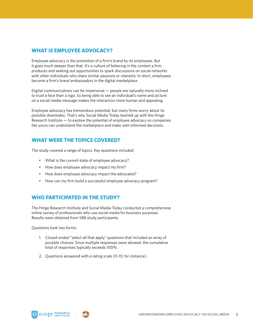### **WHAT IS EMPLOYEE ADVOCACY?**

Employee advocacy is the promotion of a firm's brand by its employees. But it goes much deeper than that. It's a culture of believing in the content a firm produces and seeking out opportunities to spark discussions on social networks with other individuals who share similar passions or interests. In short, employees become a firm's brand ambassadors in the digital marketplace.

Digital communications can be impersonal — people are naturally more inclined to trust a face than a logo. So being able to see an individual's name and picture on a social media message makes the interaction more human and appealing.

Employee advocacy has tremendous potential, but many firms worry about its possible downsides. That's why Social Media Today teamed up with the Hinge Research Institute — to explore the potential of employee advocacy so companies like yours can understand the marketplace and make well-informed decisions.

### **WHAT WERE THE TOPICS COVERED?**

The study covered a range of topics. Key questions included:

- What is the current state of employee advocacy?
- How does employee advocacy impact my firm?
- How does employee advocacy impact the advocates?
- How can my firm build a successful employee advocacy program?

### **WHO PARTICIPATED IN THE STUDY?**

The Hinge Research Institute and Social Media Today conducted a comprehensive online survey of professionals who use social media for business purposes. Results were obtained from 588 study participants.

Questions took two forms:

- 1. Closed-ended "select all that apply" questions that included an array of possible choices. Since multiple responses were allowed, the cumulative total of responses typically exceeds 100%.
- 2. Questions answered with a rating scale (0-10, for instance).



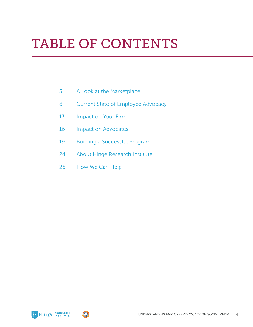# TABLE OF CONTENTS

- 5 A Look at the Marketplace
- 8 | Current State of Employee Advocacy
- 13 | Impact on Your Firm
- 16 | Impact on Advocates
- 19 | Building a Successful Program
- 24 About Hinge Research Institute
- 26 | How We Can Help



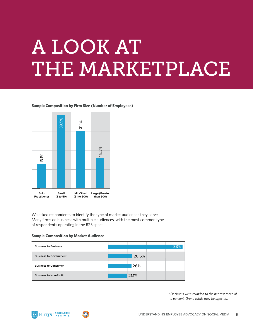# A LOOK AT THE MARKETPLACE

### **Sample Composition by Firm Size (Number of Employees)**



We asked respondents to identify the type of market audiences they serve. Many firms do business with multiple audiences, with the most common type of respondents operating in the B2B space.

### **Sample Composition by Market Audience**

| <b>Business to Business</b>   |       |  |
|-------------------------------|-------|--|
| <b>Business to Government</b> | 26.5% |  |
| <b>Business to Consumer</b>   | 26%   |  |
| <b>Business to Non-Profit</b> | 21.1% |  |

*\*Decimals were rounded to the nearest tenth of a percent. Grand totals may be affected.*



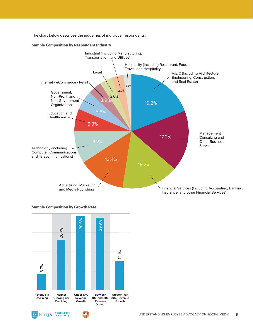The chart below describes the industries of individual respondents.

### **Sample Composition by Respondent Industry**



### **Sample Composition by Growth Rate**





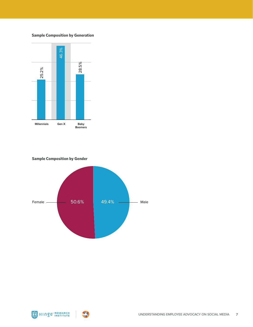### **Sample Composition by Generation**



**Sample Composition by Gender**





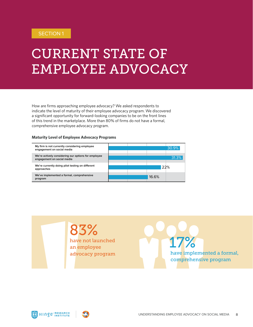# CURRENT STATE OF EMPLOYEE ADVOCACY

How are firms approaching employee advocacy? We asked respondents to indicate the level of maturity of their employee advocacy program. We discovered a significant opportunity for forward-looking companies to be on the front lines of this trend in the marketplace. More than 80% of firms do not have a formal, comprehensive employee advocacy program.

### **Maturity Level of Employee Advocacy Programs**



83% have not launched an employee advocacy program

17% have implemented a formal, comprehensive program

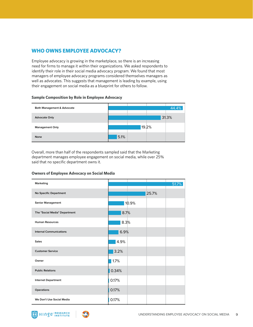## **WHO OWNS EMPLOYEE ADVOCACY?**

Employee advocacy is growing in the marketplace, so there is an increasing need for firms to manage it within their organizations. We asked respondents to identify their role in their social media advocacy program. We found that most managers of employee advocacy programs considered themselves managers as well as advocates. This suggests that management is leading by example, using their engagement on social media as a blueprint for others to follow.

### **Sample Composition by Role in Employee Advocacy**



Overall, more than half of the respondents sampled said that the Marketing department manages employee engagement on social media, while over 25% said that no specific department owns it.

### **Owners of Employee Advocacy on Social Media**

| Marketing                      | 51.7% |
|--------------------------------|-------|
| <b>No Specific Department</b>  | 25.7% |
| <b>Senior Management</b>       | 10.9% |
| The "Social Media" Department  | 8.7%  |
| <b>Human Resources</b>         | 8.3%  |
| <b>Internal Communications</b> | 6.9%  |
| <b>Sales</b>                   | 4.9%  |
| <b>Customer Service</b>        | 3.2%  |
| Owner                          | 1.7%  |
| <b>Public Relations</b>        | 0.34% |
| <b>Internet Department</b>     | 0.17% |
| Operations                     | 0.17% |
| We Don't Use Social Media      | 0.17% |



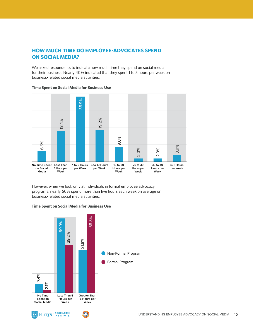# **HOW MUCH TIME DO EMPLOYEE-ADVOCATES SPEND ON SOCIAL MEDIA?**

We asked respondents to indicate how much time they spend on social media for their business. Nearly 40% indicated that they spent 1 to 5 hours per week on business-related social media activities.



### **Time Spent on Social Media for Business Use**

However, when we look only at individuals in formal employee advocacy programs, nearly 60% spend more than five hours each week on average on business-related social media activities.



### **Time Spent on Social Media for Business Use**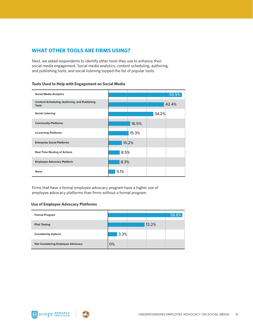### **WHAT OTHER TOOLS ARE FIRMS USING?**

Next, we asked respondents to identify other tools they use to enhance their social media engagement. Social media analytics, content scheduling, authoring, and publishing tools, and social listening topped the list of popular tools.

| <b>Social Media Analytics</b>                                 |       | 55.9% |
|---------------------------------------------------------------|-------|-------|
| Content Scheduling, Authoring, and Publishing<br><b>Tools</b> |       | 42.4% |
| <b>Social Listening</b>                                       |       | 34.2% |
| <b>Community Platforms</b>                                    | 16.5% |       |
| e-Learning Platforms                                          | 15.3% |       |
| <b>Enterprise Social Platforms</b>                            | 10.2% |       |
| <b>Real Time Routing of Actions</b>                           | 8.5%  |       |
| <b>Employee Advocacy Platform</b>                             | 8.3%  |       |
| None                                                          | 5.1%  |       |

**Tools Used to Help with Engagement on Social Media**

Firms that have a formal employee advocacy program have a higher use of employee advocacy platforms than firms without a formal program.

### **Use of Employee Advocacy Platforms**

| Formal Program                    |      |       | 26.8% |
|-----------------------------------|------|-------|-------|
| <b>Pilot Testing</b>              |      | 13.2% |       |
| <b>Considering Options</b>        | 3.3% |       |       |
| Not Considering Employee Advocacy | 0%   |       |       |



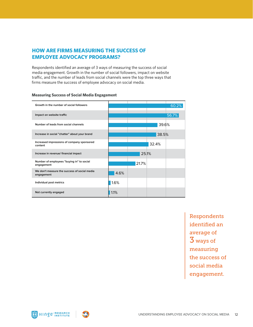# **HOW ARE FIRMS MEASURING THE SUCCESS OF EMPLOYEE ADVOCACY PROGRAMS?**

Respondents identified an average of 3 ways of measuring the success of social media engagement. Growth in the number of social followers, impact on website traffic, and the number of leads from social channels were the top three ways that firms measure the success of employee advocacy on social media.

| Growth in the number of social followers                   |      |       |       | 60.2% |
|------------------------------------------------------------|------|-------|-------|-------|
| Impact on website traffic                                  |      |       |       | 56.7% |
| Number of leads from social channels                       |      |       | 39.6% |       |
| Increase in social "chatter" about your brand              |      |       | 38.5% |       |
| Increased impressions of company sponsored<br>content      |      |       | 32.4% |       |
| Increase in revenue/ financial impact                      |      | 25.1% |       |       |
| Number of employees "buying in" to social<br>engagement    |      | 21.7% |       |       |
| We don't measure the success of social media<br>engagement | 4.6% |       |       |       |
| Individual post metrics                                    | 1.6% |       |       |       |
| Not currently engaged                                      | 1.1% |       |       |       |

### **Measuring Success of Social Media Engagement**

Respondents identified an average of 3 ways of measuring the success of social media engagement.



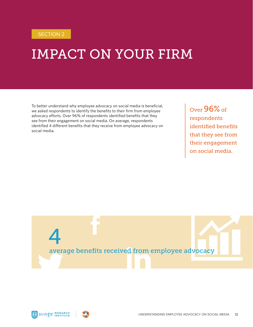# IMPACT ON YOUR FIRM

To better understand why employee advocacy on social media is beneficial, we asked respondents to identify the benefits to their firm from employee advocacy efforts. Over 96% of respondents identified benefits that they see from their engagement on social media. On average, respondents identified 4 different benefits that they receive from employee advocacy on social media.

Over 96% of respondents identified benefits that they see from their engagement on social media.





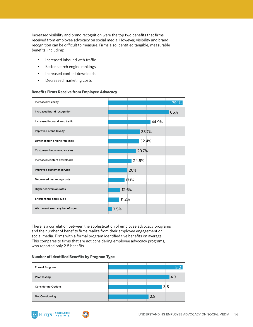Increased visibility and brand recognition were the top two benefits that firms received from employee advocacy on social media. However, visibility and brand recognition can be difficult to measure. Firms also identified tangible, measurable benefits, including:

- Increased inbound web traffic
- Better search engine rankings
- Increased content downloads
- Decreased marketing costs

### **Benefits Firms Receive from Employee Advocacy**

| Increased visibility              | 79.1% |
|-----------------------------------|-------|
| Increased brand recognition       | 65%   |
| Increased inbound web traffic     | 44.9% |
| Improved brand loyalty            | 33.7% |
| Better search engine rankings     | 32.4% |
| <b>Customers become advocates</b> | 29.7% |
| Increased content downloads       | 24.6% |
| Improved customer service         | 20%   |
| Decreased marketing costs         | 17.1% |
| Higher conversion rates           | 12.6% |
| Shortens the sales cycle          | 11.2% |
| We haven't seen any benefits yet  | 3.5%  |

There is a correlation between the sophistication of employee advocacy programs and the number of benefits firms realize from their employee engagement on social media. Firms with a formal program identified five benefits on average. This compares to firms that are not considering employee advocacy programs, who reported only 2.8 benefits.

### **Number of Identified Benefits by Program Type**



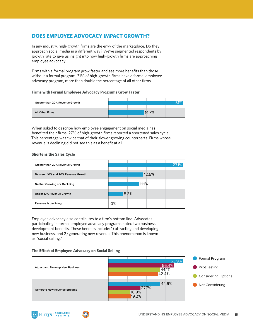## **DOES EMPLOYEE ADVOCACY IMPACT GROWTH?**

In any industry, high-growth firms are the envy of the marketplace. Do they approach social media in a different way? We've segmented respondents by growth rate to give us insight into how high-growth firms are approaching employee advocacy.

Firms with a formal program grow faster and see more benefits than those without a formal program. 31% of high-growth firms have a formal employee advocacy program, more than double the percentage of all other firms.

### **Firms with Formal Employee Advocacy Programs Grow Faster**

| Greater than 20% Revenue Growth |  |       |  |
|---------------------------------|--|-------|--|
|                                 |  |       |  |
| <b>All Other Firms</b>          |  | 14.7% |  |
|                                 |  |       |  |

When asked to describe how employee engagement on social media has benefited their firms, 27% of high-growth firms reported a shortened sales cycle. This percentage was twice that of their slower growing counterparts. Firms whose revenue is declining did not see this as a benefit at all.

### **Shortens the Sales Cycle**

 $Inge<sub>inst</sub>$ 



Employee advocacy also contributes to a firm's bottom line. Advocates participating in formal employee advocacy programs noted two business development benefits. These benefits include: 1) attracting and developing new business, and 2) generating new revenue. This phenomenon is known as "social selling."

### **The Effect of Employee Advocacy on Social Selling**

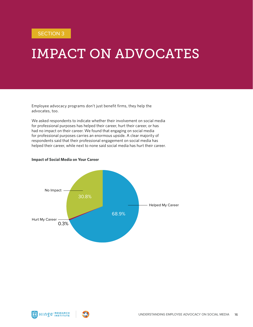# IMPACT ON ADVOCATES

Employee advocacy programs don't just benefit firms, they help the advocates, too.

We asked respondents to indicate whether their involvement on social media for professional purposes has helped their career, hurt their career, or has had no impact on their career. We found that engaging on social media for professional purposes carries an enormous upside. A clear majority of respondents said that their professional engagement on social media has helped their career, while next to none said social media has hurt their career.

### **Impact of Social Media on Your Career**





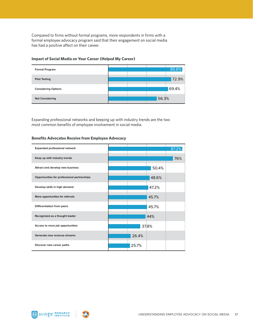Compared to firms without formal programs, more respondents in firms with a formal employee advocacy program said that their engagement on social media has had a positive affect on their career.

### **Impact of Social Media on Your Career (Helped My Career)**



Expanding professional networks and keeping up with industry trends are the two most common benefits of employee involvement in social media.

### **Benefits Advocates Receive from Employee Advocacy**

| Expanded professional network               | 87.2% |
|---------------------------------------------|-------|
| Keep up with industry trends                | 76%   |
| Attract and develop new business            | 50.4% |
| Opportunities for professional partnerships | 48.6% |
| Develop skills in high demand               | 47.2% |
| More opportunities for referrals            | 45.7% |
| Differentiation from peers                  | 45.7% |
| Recognized as a thought leader              | 44%   |
| Access to more job opportunities            | 37.8% |
| Generate new revenue streams                | 26.4% |
| Discover new career paths                   | 25.7% |



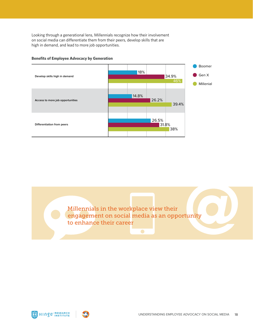Looking through a generational lens, Millennials recognize how their involvement on social media can differentiate them from their peers, develop skills that are high in demand, and lead to more job opportunities.



#### **Benefits of Employee Advocacy by Generation**

Millennials in the workplace view their engagement on social media as an opportunity to enhance their career

 $\bullet$ 



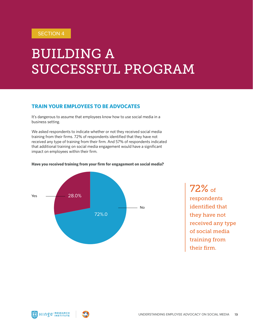# BUILDING A SUCCESSFUL PROGRAM

## **TRAIN YOUR EMPLOYEES TO BE ADVOCATES**

It's dangerous to assume that employees know how to use social media in a business setting.

We asked respondents to indicate whether or not they received social media training from their firms. 72% of respondents identified that they have not received any type of training from their firm. And 57% of respondents indicated that additional training on social media engagement would have a significant impact on employees within their firm.



### **Have you received training from your firm for engagement on social media?**

72% of respondents identified that they have not received any type of social media training from their firm.

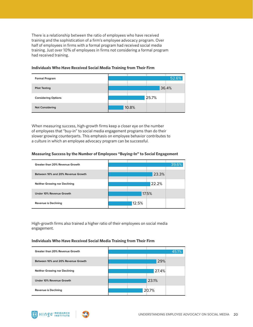There is a relationship between the ratio of employees who have received training and the sophistication of a firm's employee advocacy program. Over half of employees in firms with a formal program had received social media training. Just over 10% of employees in firms not considering a formal program had received training.



### **Individuals Who Have Received Social Media Training from Their Firm**

When measuring success, high-growth firms keep a closer eye on the number of employees that "buy-in" to social media engagement programs than do their slower growing counterparts. This emphasis on employee behavior contributes to a culture in which an employee advocacy program can be successful.

### **Measuring Success by the Number of Employees "Buying-In" to Social Engagement**

| Greater than 20% Revenue Growth    |       |       | 39.6% |
|------------------------------------|-------|-------|-------|
| Between 10% and 20% Revenue Growth |       | 23.3% |       |
| Neither Growing nor Declining      |       | 22.2% |       |
| Under 10% Revenue Growth           |       | 17.5% |       |
| Revenue is Declining               | 12.5% |       |       |

High-growth firms also trained a higher ratio of their employees on social media engagement.

### **Individuals Who Have Received Social Media Training from Their Firm**

| Greater than 20% Revenue Growth    |  |       | 45.1% |
|------------------------------------|--|-------|-------|
| Between 10% and 20% Revenue Growth |  | 29%   |       |
| Neither Growing nor Declining      |  | 27.4% |       |
| Under 10% Revenue Growth           |  | 23.1% |       |
| Revenue is Declining               |  | 20.7% |       |



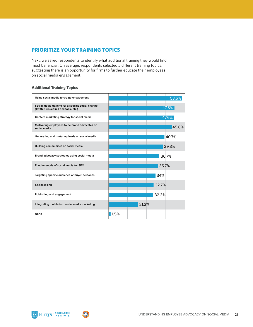### **PRIORITIZE YOUR TRAINING TOPICS**

Next, we asked respondents to identify what additional training they would find most beneficial. On average, respondents selected 5 different training topics, suggesting there is an opportunity for firms to further educate their employees on social media engagement.

### **Additional Training Topics**



HINGE<sup>.RESEARCH</sup>

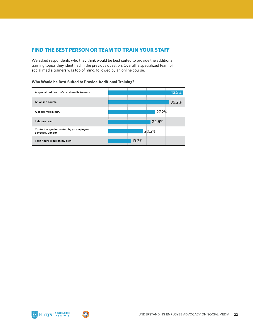### **FIND THE BEST PERSON OR TEAM TO TRAIN YOUR STAFF**

We asked respondents who they think would be best suited to provide the additional training topics they identified in the previous question. Overall, a specialized team of social media trainers was top of mind, followed by an online course.

| A specialized team of social media trainers                | 43.2% |
|------------------------------------------------------------|-------|
| An online course                                           | 35.2% |
| A social media guru                                        | 27.2% |
| In-house team                                              | 24.5% |
| Content or guide created by an employee<br>advocacy vendor | 20.2% |
| I can figure it out on my own                              | 13.3% |

### **Who Would be Best Suited to Provide Additional Training?**



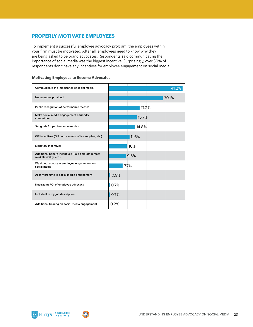### **PROPERLY MOTIVATE EMPLOYEES**

To implement a successful employee advocacy program, the employees within your firm must be motivated. After all, employees need to know why they are being asked to be brand advocates. Respondents said communicating the importance of social media was the biggest incentive. Surprisingly, over 30% of respondents don't have any incentives for employee engagement on social media.

### **Motivating Employees to Become Advocates**

| Communicate the importance of social media                                      |      |       | 41.2% |
|---------------------------------------------------------------------------------|------|-------|-------|
| No incentive provided                                                           |      |       | 30.1% |
| Public recognition of performance metrics                                       |      | 17.2% |       |
| Make social media engagement a friendly<br>competition                          |      | 15.7% |       |
| Set goals for performance metrics                                               |      | 14.8% |       |
| Gift incentives (Gift cards, meals, office supplies, etc.)                      |      | 11.6% |       |
| <b>Monetary incentives</b>                                                      |      | 10%   |       |
| Additional benefit incentives (Paid time off, remote<br>work flexibility, etc.) |      | 9.5%  |       |
| We do not advocate employee engagement on<br>social media                       |      | 7.7%  |       |
| Allot more time to social media engagement                                      | 0.9% |       |       |
| Illustrating ROI of employee advocacy                                           | 0.7% |       |       |
| Include it in my job description                                                | 0.7% |       |       |
| Additional training on social media engagement                                  | 0.2% |       |       |

HINGE<sup>®</sup> INSTITUTE

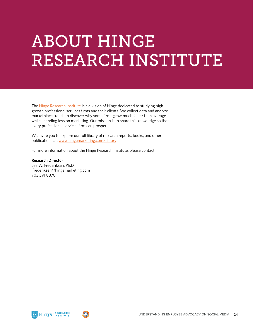# ABOUT HINGE RESEARCH INSTITUTE

The **Hinge Research Institute** is a division of Hinge dedicated to studying highgrowth professional services firms and their clients. We collect data and analyze marketplace trends to discover why some firms grow much faster than average while spending less on marketing. Our mission is to share this knowledge so that every professional services firm can prosper.

We invite you to explore our full library of research reports, books, and other publications at: [www.hingemarketing.com/library](http://www.hingemarketing.com/library)

For more information about the Hinge Research Institute, please contact:

**Research Director** Lee W. Frederiksen, Ph.D. lfrederiksen@hingemarketing.com 703 391 8870



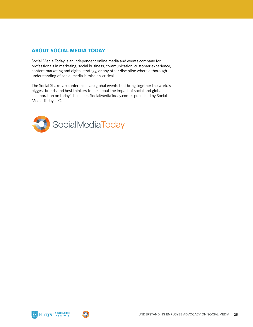## **ABOUT SOCIAL MEDIA TODAY**

Social Media Today is an independent online media and events company for professionals in marketing, social business, communication, customer experience, content marketing and digital strategy, or any other discipline where a thorough understanding of social media is mission-critical.

The Social Shake-Up conferences are global events that bring together the world's biggest brands and best thinkers to talk about the impact of social and global collaboration on today's business. SocialMediaToday.com is published by Social Media Today LLC.





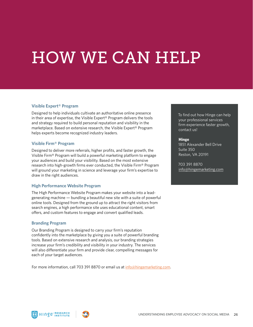# HOW WE CAN HELP

### **Visible Expert® Program**

Designed to help individuals cultivate an authoritative online presence in their area of expertise, the Visible Expert® Program delivers the tools and strategy required to build personal reputation and visibility in the marketplace. Based on extensive research, the Visible Expert® Program helps experts become recognized industry leaders.

### **Visible Firm® Program**

Designed to deliver more referrals, higher profits, and faster growth, the Visible Firm® Program will build a powerful marketing platform to engage your audiences and build your visibility. Based on the most extensive research into high-growth firms ever conducted, the Visible Firm® Program will ground your marketing in science and leverage your firm's expertise to draw in the right audiences.

### **High Performance Website Program**

The High Performance Website Program makes your website into a leadgenerating machine — bundling a beautiful new site with a suite of powerful online tools. Designed from the ground up to attract the right visitors from search engines, a high performance site uses educational content, smart offers, and custom features to engage and convert qualified leads.

### **Branding Program**

Our Branding Program is designed to carry your firm's reputation confidently into the marketplace by giving you a suite of powerful branding tools. Based on extensive research and analysis, our branding strategies increase your firm's credibility and visibility in your industry. The services will also differentiate your firm and provide clear, compelling messages for each of your target audiences.

For more information, call 703 391 8870 or email us at [info@hingemarketing.com](mailto:info%40hingemarketing.com?subject=).

To find out how Hinge can help your professional services firm experience faster growth, contact us!

### **Hinge**

1851 Alexander Bell Drive Suite 350 Reston, VA 20191

703 391 8870 [info@hingemarketing.com](mailto:info%40hingemarketing.com?subject=)